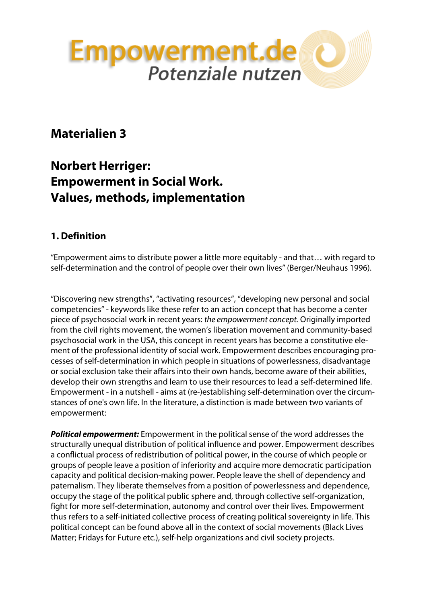

# **Materialien 3**

# **Norbert Herriger: Empowerment in Social Work. Values, methods, implementation**

## **1. Definition**

"Empowerment aims to distribute power a little more equitably - and that… with regard to self-determination and the control of people over their own lives" (Berger/Neuhaus 1996).

"Discovering new strengths", "activating resources", "developing new personal and social competencies" - keywords like these refer to an action concept that has become a center piece of psychosocial work in recent years: *the empowerment concept.* Originally imported from the civil rights movement, the women's liberation movement and community-based psychosocial work in the USA, this concept in recent years has become a constitutive element of the professional identity of social work. Empowerment describes encouraging processes of self-determination in which people in situations of powerlessness, disadvantage or social exclusion take their affairs into their own hands, become aware of their abilities, develop their own strengths and learn to use their resources to lead a self-determined life. Empowerment - in a nutshell - aims at (re-)establishing self-determination over the circumstances of one's own life. In the literature, a distinction is made between two variants of empowerment:

*Political empowerment:* Empowerment in the political sense of the word addresses the structurally unequal distribution of political influence and power. Empowerment describes a conflictual process of redistribution of political power, in the course of which people or groups of people leave a position of inferiority and acquire more democratic participation capacity and political decision-making power. People leave the shell of dependency and paternalism. They liberate themselves from a position of powerlessness and dependence, occupy the stage of the political public sphere and, through collective self-organization, fight for more self-determination, autonomy and control over their lives. Empowerment thus refers to a self-initiated collective process of creating political sovereignty in life. This political concept can be found above all in the context of social movements (Black Lives Matter; Fridays for Future etc.), self-help organizations and civil society projects.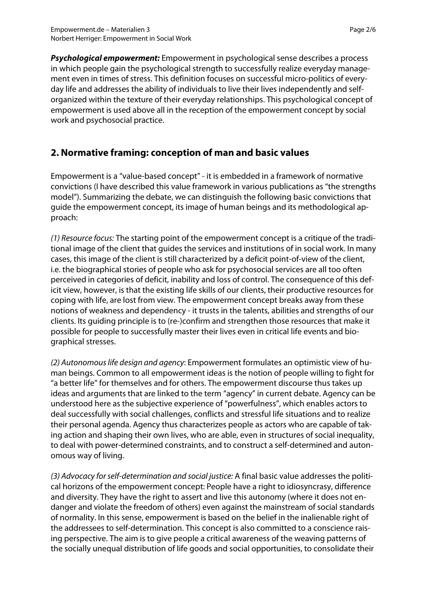*Psychological empowerment:* Empowerment in psychological sense describes a process in which people gain the psychological strength to successfully realize everyday management even in times of stress. This definition focuses on successful micro-politics of everyday life and addresses the ability of individuals to live their lives independently and selforganized within the texture of their everyday relationships. This psychological concept of empowerment is used above all in the reception of the empowerment concept by social work and psychosocial practice.

#### **2. Normative framing: conception of man and basic values**

Empowerment is a "value-based concept" - it is embedded in a framework of normative convictions (I have described this value framework in various publications as "the strengths model"). Summarizing the debate, we can distinguish the following basic convictions that guide the empowerment concept, its image of human beings and its methodological approach:

*(1) Resource focus:* The starting point of the empowerment concept is a critique of the traditional image of the client that guides the services and institutions of in social work. In many cases, this image of the client is still characterized by a deficit point-of-view of the client, i.e. the biographical stories of people who ask for psychosocial services are all too often perceived in categories of deficit, inability and loss of control. The consequence of this deficit view, however, is that the existing life skills of our clients, their productive resources for coping with life, are lost from view. The empowerment concept breaks away from these notions of weakness and dependency - it trusts in the talents, abilities and strengths of our clients. Its guiding principle is to (re-)confirm and strengthen those resources that make it possible for people to successfully master their lives even in critical life events and biographical stresses.

*(2) Autonomous life design and agency*: Empowerment formulates an optimistic view of human beings. Common to all empowerment ideas is the notion of people willing to fight for "a better life" for themselves and for others. The empowerment discourse thus takes up ideas and arguments that are linked to the term "agency" in current debate. Agency can be understood here as the subjective experience of "powerfulness", which enables actors to deal successfully with social challenges, conflicts and stressful life situations and to realize their personal agenda. Agency thus characterizes people as actors who are capable of taking action and shaping their own lives, who are able, even in structures of social inequality, to deal with power-determined constraints, and to construct a self-determined and autonomous way of living.

*(3) Advocacy for self-determination and social justice:* A final basic value addresses the political horizons of the empowerment concept: People have a right to idiosyncrasy, difference and diversity. They have the right to assert and live this autonomy (where it does not endanger and violate the freedom of others) even against the mainstream of social standards of normality. In this sense, empowerment is based on the belief in the inalienable right of the addressees to self-determination. This concept is also committed to a conscience raising perspective. The aim is to give people a critical awareness of the weaving patterns of the socially unequal distribution of life goods and social opportunities, to consolidate their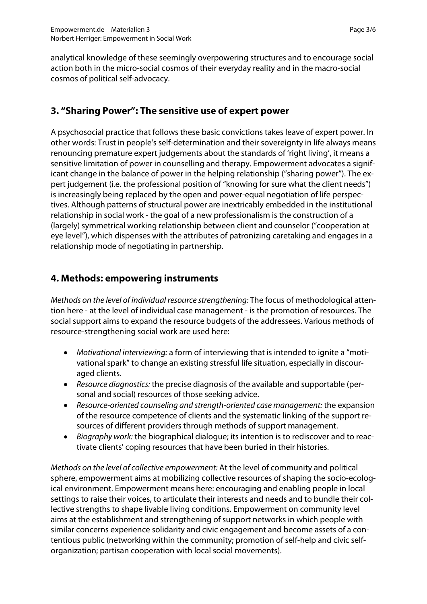analytical knowledge of these seemingly overpowering structures and to encourage social action both in the micro-social cosmos of their everyday reality and in the macro-social cosmos of political self-advocacy.

#### **3. "Sharing Power": The sensitive use of expert power**

A psychosocial practice that follows these basic convictions takes leave of expert power. In other words: Trust in people's self-determination and their sovereignty in life always means renouncing premature expert judgements about the standards of 'right living', it means a sensitive limitation of power in counselling and therapy. Empowerment advocates a significant change in the balance of power in the helping relationship ("sharing power"). The expert judgement (i.e. the professional position of "knowing for sure what the client needs") is increasingly being replaced by the open and power-equal negotiation of life perspectives. Although patterns of structural power are inextricably embedded in the institutional relationship in social work - the goal of a new professionalism is the construction of a (largely) symmetrical working relationship between client and counselor ("cooperation at eye level"), which dispenses with the attributes of patronizing caretaking and engages in a relationship mode of negotiating in partnership.

#### **4. Methods: empowering instruments**

*Methods on the level of individual resource strengthening:* The focus of methodological attention here - at the level of individual case management - is the promotion of resources. The social support aims to expand the resource budgets of the addressees. Various methods of resource-strengthening social work are used here:

- *Motivational interviewing:* a form of interviewing that is intended to ignite a "motivational spark" to change an existing stressful life situation, especially in discouraged clients.
- *Resource diagnostics:* the precise diagnosis of the available and supportable (personal and social) resources of those seeking advice.
- *Resource-oriented counseling and strength-oriented case management:* the expansion of the resource competence of clients and the systematic linking of the support resources of different providers through methods of support management.
- *Biography work:* the biographical dialogue; its intention is to rediscover and to reactivate clients' coping resources that have been buried in their histories.

*Methods on the level of collective empowerment:* At the level of community and political sphere, empowerment aims at mobilizing collective resources of shaping the socio-ecological environment. Empowerment means here: encouraging and enabling people in local settings to raise their voices, to articulate their interests and needs and to bundle their collective strengths to shape livable living conditions. Empowerment on community level aims at the establishment and strengthening of support networks in which people with similar concerns experience solidarity and civic engagement and become assets of a contentious public (networking within the community; promotion of self-help and civic selforganization; partisan cooperation with local social movements).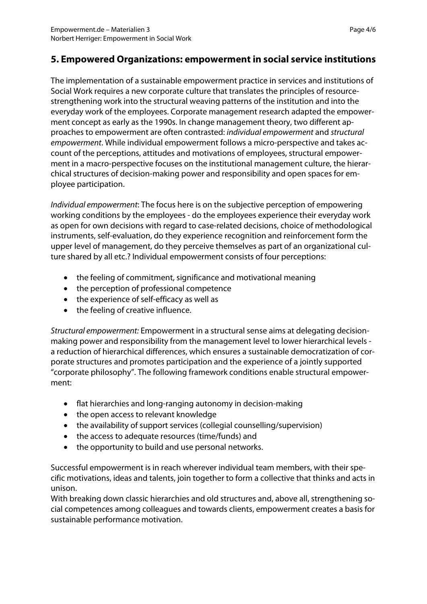### **5. Empowered Organizations: empowerment in social service institutions**

The implementation of a sustainable empowerment practice in services and institutions of Social Work requires a new corporate culture that translates the principles of resourcestrengthening work into the structural weaving patterns of the institution and into the everyday work of the employees. Corporate management research adapted the empowerment concept as early as the 1990s. In change management theory, two different approaches to empowerment are often contrasted: *individual empowerment* and *structural empowerment*. While individual empowerment follows a micro-perspective and takes account of the perceptions, attitudes and motivations of employees, structural empowerment in a macro-perspective focuses on the institutional management culture, the hierarchical structures of decision-making power and responsibility and open spaces for employee participation.

*Individual empowerment*: The focus here is on the subjective perception of empowering working conditions by the employees - do the employees experience their everyday work as open for own decisions with regard to case-related decisions, choice of methodological instruments, self-evaluation, do they experience recognition and reinforcement form the upper level of management, do they perceive themselves as part of an organizational culture shared by all etc.? Individual empowerment consists of four perceptions:

- the feeling of commitment, significance and motivational meaning
- the perception of professional competence
- the experience of self-efficacy as well as
- the feeling of creative influence.

*Structural empowerment:* Empowerment in a structural sense aims at delegating decisionmaking power and responsibility from the management level to lower hierarchical levels a reduction of hierarchical differences, which ensures a sustainable democratization of corporate structures and promotes participation and the experience of a jointly supported "corporate philosophy". The following framework conditions enable structural empowerment:

- flat hierarchies and long-ranging autonomy in decision-making
- the open access to relevant knowledge
- the availability of support services (collegial counselling/supervision)
- the access to adequate resources (time/funds) and
- the opportunity to build and use personal networks.

Successful empowerment is in reach wherever individual team members, with their specific motivations, ideas and talents, join together to form a collective that thinks and acts in unison.

With breaking down classic hierarchies and old structures and, above all, strengthening social competences among colleagues and towards clients, empowerment creates a basis for sustainable performance motivation.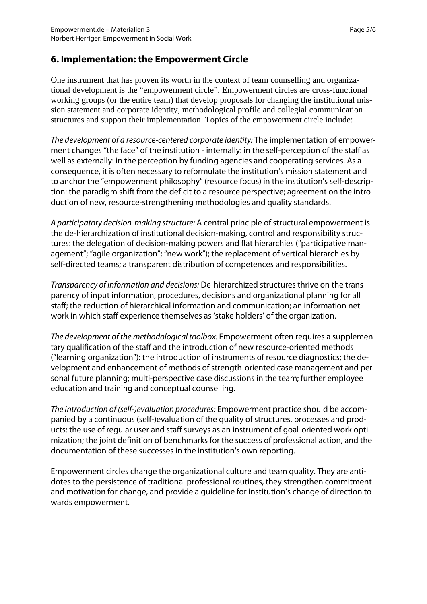#### **6. Implementation: the Empowerment Circle**

One instrument that has proven its worth in the context of team counselling and organizational development is the "empowerment circle". Empowerment circles are cross-functional working groups (or the entire team) that develop proposals for changing the institutional mission statement and corporate identity, methodological profile and collegial communication structures and support their implementation. Topics of the empowerment circle include:

*The development of a resource-centered corporate identity:* The implementation of empowerment changes "the face" of the institution - internally: in the self-perception of the staff as well as externally: in the perception by funding agencies and cooperating services. As a consequence, it is often necessary to reformulate the institution's mission statement and to anchor the "empowerment philosophy" (resource focus) in the institution's self-description: the paradigm shift from the deficit to a resource perspective; agreement on the introduction of new, resource-strengthening methodologies and quality standards.

*A participatory decision-making structure:* A central principle of structural empowerment is the de-hierarchization of institutional decision-making, control and responsibility structures: the delegation of decision-making powers and flat hierarchies ("participative management"; "agile organization"; "new work"); the replacement of vertical hierarchies by self-directed teams; a transparent distribution of competences and responsibilities.

*Transparency of information and decisions:* De-hierarchized structures thrive on the transparency of input information, procedures, decisions and organizational planning for all staff; the reduction of hierarchical information and communication; an information network in which staff experience themselves as 'stake holders' of the organization.

*The development of the methodological toolbox:* Empowerment often requires a supplementary qualification of the staff and the introduction of new resource-oriented methods ("learning organization"): the introduction of instruments of resource diagnostics; the development and enhancement of methods of strength-oriented case management and personal future planning; multi-perspective case discussions in the team; further employee education and training and conceptual counselling.

*The introduction of (self-)evaluation procedures:* Empowerment practice should be accompanied by a continuous (self-)evaluation of the quality of structures, processes and products: the use of regular user and staff surveys as an instrument of goal-oriented work optimization; the joint definition of benchmarks for the success of professional action, and the documentation of these successes in the institution's own reporting.

Empowerment circles change the organizational culture and team quality. They are antidotes to the persistence of traditional professional routines, they strengthen commitment and motivation for change, and provide a guideline for institution's change of direction towards empowerment.